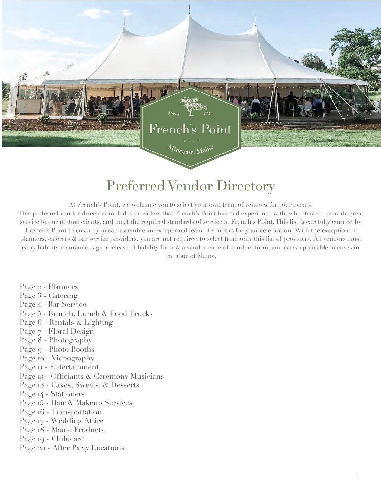

# Preferred Vendor Directory

At French's Point, we welcome you to select your own team of vendors for your events. This preferred vendor directory includes providers that French's Point has had experience with, who strive to provide great

service to our mutual clients, and meet the required standards of service at French's Point. This list is carefully curated by French's Point to ensure you can assemble an exceptional team of vendors for your celebration. With the exception of planners, caterers & bar service providers, you are not required to select from only this list of providers. All vendors must carry liability insurance, sign a release of liability form & a vendor code of conduct form, and carry applicable licenses in the state of Maine.

- Page 2 Planners
- [Page 3 Catering](#page-1-0)
- [Page 4 Bar Service](#page-6-0)
- Page 5 Brunch, Lunch & Food Trucks
- [Page 6 Rentals & Light](#page-4-0)ing
- [Page 7 Floral Design](#page-7-0)
- [Page 8 Photography](#page-8-0)
- [Page 9 Photo Booths](#page-9-0)
- [Page 10 Videography](#page-10-0)
- Page  $II$  Entertainment
- Page 12 [Officiants & Ceremony Musicians](#page-11-0)
- Page 13 Cakes, Sweets, & Desserts
- Page 14 Stationers
- Page 15 [Hair & Makeup Services](#page-13-0)
- Page 16 Transportation
- [Page 17 Wedding Atti](#page-15-0)re
- [Page 18 Maine Products](#page-16-0)
- Page 19 Childcare
- Page 20 [After Party](#page-18-0) Locations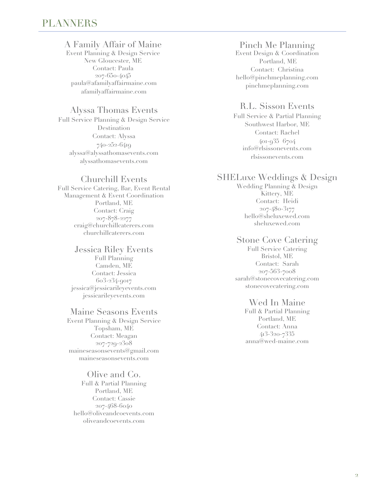## <span id="page-1-0"></span>A Family Affair of Maine

Event Planning & Design Service New Gloucester, ME Contact: Paula 207-650-4045 paula@afamilyaffairmaine.com afamilyaffairmaine.com

#### Alyssa Thomas Events

Full Service Planning & Design Service Destination Contact: Alyssa 740-252-6419 alyssa@alyssathomasevents.com alyssathomasevents.com

### Churchill Events

Full Service Catering, Bar, Event Rental Management & Event Coordination Portland, ME Contact: Craig 207-878-2277 craig@churchillcaterers.com churchillcaterers.com

#### Jessica Riley Events

Full Planning Camden, ME Contact: Jessica 603-234-9017 jessica@jessicarileyevents.com jessicarileyevents.com

#### Maine Seasons Events

Event Planning & Design Service Topsham, ME Contact: Meagan 207-729-2308 maineseasonsevents@gmail.com maineseasonsevents.com

#### Olive and Co.

Full & Partial Planning Portland, ME Contact: Cassie 207-468-6040 hello@oliveandcoevents.com oliveandcoevents.com

### Pinch Me Planning

Event Design & Coordination Portland, ME Contact: Christina hello@pinchmeplanning.com pinchmeplanning.com

## R.L. Sisson Events

Full Service & Partial Planning Southwest Harbor, ME Contact: Rachel 401-935 6704 info@rlsissonevents.com rlsissonevents.com

### SHELuxe Weddings & Design

Wedding Planning & Design Kittery, ME Contact: Heidi 207-480-3177 hello@sheluxewed.com sheluxewed.com

## Stone Cove Catering

Full Service Catering Bristol, ME Contact: Sarah 207-563-7008 sarah@stonecovecatering.com stonecovecatering.com

#### Wed In Maine

Full & Partial Planning Portland, ME Contact: Anna 413-320-7335 anna@wed-maine.com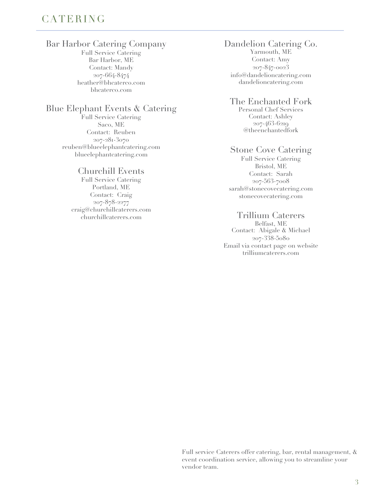# <span id="page-2-0"></span>CATERING

## Bar Harbor Catering Company

Full Service Catering Bar Harbor, ME Contact: Mandy 207-664-8474 heather@bhcaterco.com bhcaterco.com

#### Blue Elephant Events & Catering

Full Service Catering Saco, ME Contact: Reuben 207-281-3070 reuben@blueelephantcatering.com blueelephantcatering.com

#### Churchill Events

Full Service Catering Portland, ME Contact: Craig 207-878-2277 craig@churchillcaterers.com churchillcaterers.com

#### Dandelion Catering Co. Yarmouth, ME Contact: Amy 207-847-0023 info@dandelioncatering.com

dandelioncatering.com

#### The Enchanted Fork

Personal Chef Services Contact: Ashley 207-463-6219 @theenchantedfork

#### Stone Cove Catering

Full Service Catering Bristol, ME Contact: Sarah 207-563-7008 sarah@stonecovecatering.com stonecovecatering.com

### Trillium Caterers

Belfast, ME Contact: Abigale & Michael 207-338-5080 Email via contact page on website trilliumcaterers.com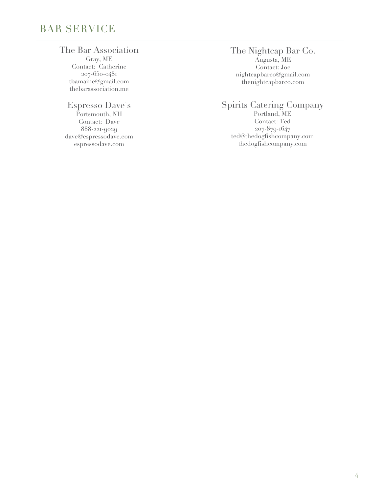# <span id="page-3-0"></span>BAR SERVICE

## The Bar Association

Gray, ME Contact: Catherine 207-650-0481 tbamaine@gmail.com thebarassociation.me

# Espresso Dave's

Portsmouth, NH Contact: Dave 888-221-9029 dave@espressodave.com espressodave.com

# The Nightcap Bar Co.

Augusta, ME Contact: Joc nightcapbarco@gmail.com thenightcapbarco.com

# Spirits Catering Company

Portland, ME Contact: Ted 207-879-1647 ted@thedogfishcompany.com thedogfishcompany.com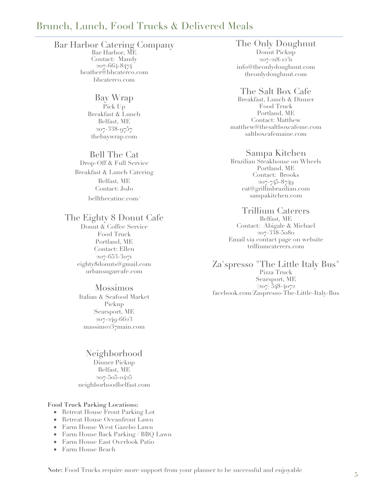# <span id="page-4-0"></span>Brunch, Lunch, Food Trucks & Delivered Meals

#### Bar Harbor Catering Company

Bar Harbor, ME Contact: Mandy 207-664-8474 heather@bhcaterco.com bhcaterco.com

> Bay Wrap Pick Up Breakfast & Lunch Belfast, ME 207-338-9757 thebaywrap.com

#### Bell The Cat

Drop-Off & Full Service Breakfast & Lunch Catering Belfast, ME Contact: JoJo bellthecatinc.com/

## The Eighty 8 Donut Cafe

Donut & Coffee Service Food Truck Portland, ME Contact: Ellen 207-653-3071 eighty8donuts@gmail.com urbansugarcafe.com

#### Mossimos

Italian & Seafood Market Pickup Searsport, ME 207-249-6623 massimo237main.com

Neighborhood Dinner Pickup Belfast, ME 207-505-0425 neighborhoodbelfast.com

#### **Food Truck Parking Locations:**

- Retreat House Front Parking Lot
- Retreat House Oceanfront Lawn
- Farm House West Gazebo Lawn
- Farm House Back Parking / BBQ Lawn
- Farm House East Overlook Patio
- Farm House Beach

The Only Doughnut Donut Pickup 207-218-1231 info@theonlydoughnut.com theonlydoughnut.com

#### The Salt Box Cafe

Breakfast, Lunch & Dinner Food Truck Portland, ME Contact: Matthew matthew@thesaltboxcafeme.com saltboxcafemaine.com

#### Sampa Kitchen

Brazilian Steakhouse on Wheels Portland, ME Contact: Brooks 207-745-8749 eat@grillinbrazilian.com sampakitchen.com

#### Trillium Caterers

Belfast, ME Contact: Abigale & Michael 207-338-5080 Email via contact page on website trilliumcaterers.com

Za'spresso "The Little Italy Bus" Pizza Truck Searsport, ME (207) 548-4072 facebook.com/Zaspresso-The-Little-Italy-Bus

**Note:** Food Trucks require more support from your planner to be successful and enjoyable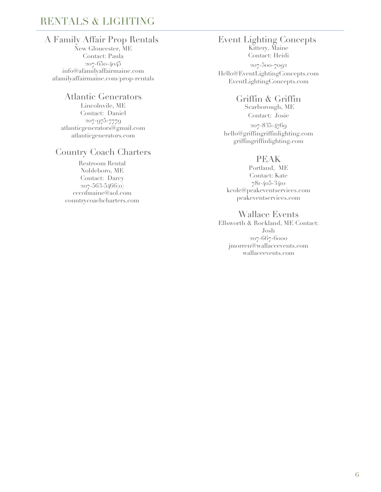# <span id="page-5-0"></span>RENTALS & LIGHTING

# A Family Affair Prop Rentals

New Gloucester, ME Contact: Paula 207-650-4045 info@afamilyaffairmaine.com afamilyaffairmaine.com/prop-rentals

#### Atlantic Generators

Lincolnvile, ME Contact: Daniel 207-975-7779 atlanticgenerators@gmail.com atlanticgenerators.com

# Country Coach Charters

Restroom Rental Nobleboro, ME Contact: Darcy 207-563-5466(o) cccofmaine@aol.com countrycoachcharters.com

#### Event Lighting Concepts Kittery, Maine

Contact: Heidi

207-500-7092 Hello@EventLightingConcepts.com EventLightingConcepts.com

## Griffin & Griffin

 Scarborough, ME Contact: Josie 207-835-4769 hello@griffingriffinlighting.com griffingriffinlighting.com

## PEAK

Portland, ME Contact: Kate 781-405-3410 kcole@peakeventservices.com peakeventservices.com

## Wallace Events

Ellsworth & Rockland, ME Contact: Josh 207-667-6000 jmorren@wallaceevents.com wallaceevents.com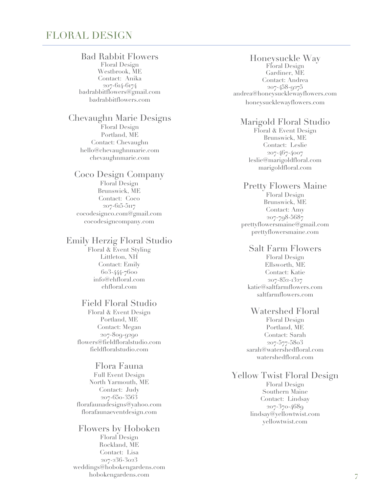# <span id="page-6-0"></span>FLORAL DESIGN

#### Bad Rabbit Flowers

Floral Design Westbrook, ME Contact: Anika 207-614-6174 badrabbitflowers@gmail.com badrabbitflowers.com

# Chevaughn Marie Designs

Floral Design Portland, ME Contact: Chevaughn hello@chevaughnmarie.com chevaughnmarie.com

#### Coco Design Company

Floral Design Brunswick, ME Contact: Coco 207-615-5117 cocodesignco.com@gmail.com cocodesigncompany.com

#### Emily Herzig Floral Studio

Floral & Event Styling Littleton, NH Contact: Emily 603-444-7600 info@ehfloral.com ehfloral.com

#### Field Floral Studio

Floral & Event Design Portland, ME Contact: Megan 207-809-9290 flowers@fieldfloralstudio.com fieldfloralstudio.com

#### Flora Fauna

Full Event Design North Yarmouth, ME Contact: Judy 207-650-3563 florafaunadesigns@yahoo.com florafaunaeventdesign.com

#### Flowers by Hoboken Floral Design Rockland, ME Contact: Lisa 207-236-3023 weddings@hobokengardens.com hobokengardens.com

#### Honeysuckle Way

Floral Design Gardiner, ME Contact: Andrea 207-458-9275 andrea@honeysucklewayflowers.com honeysucklewayflowers.com

#### Marigold Floral Studio

Floral & Event Design Brunswick, ME Contact: Leslie 207-467-4007 leslie@marigoldfloral.com marigoldfloral.com

#### Pretty Flowers Maine Floral Design Brunswick, ME Contact: Amy 207-798-5687 prettyflowersmaine@gmail.com prettyflowersmaine.com

#### Salt Farm Flowers

Floral Design Ellsworth, ME Contact: Katie 207-852-1327 katie@saltfarmflowers.com saltfarmflowers.com

#### Watershed Floral

Floral Design Portland, ME Contact: Sarah 207-577-5803 sarah@watershedfloral.com watershedfloral.com

# Yellow Twist Floral Design

Floral Design Southern Maine Contact: Lindsay 207-370-4689 lindsay@yellowtwist.com yellowtwist.com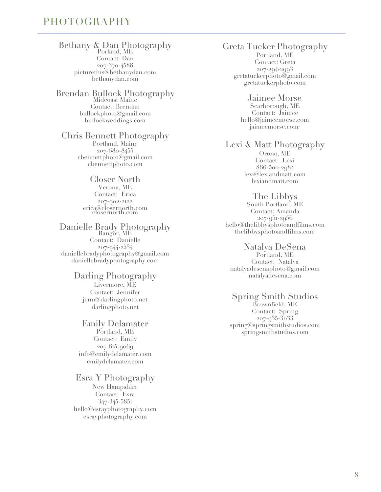# <span id="page-7-0"></span>PHOTOGRAPHY

#### Bethany & Dan Photography Porland, ME

Contact: Dan 207-370-4588 picturethis@bethanydan.com bethanydan.com

#### Brendan Bullock Photography Midcoast Maine Contact: Brendan bullockphoto@gmail.com bullockweddings.com

# Chris Bennett Photography

Portland, Maine 207-680-8455 cbennettphoto@gmail.com cbennettphoto.com

#### Closer North Verona, ME Contact: Erica 207-902-2122 erica@closernorth.com closernorth.com

#### Danielle Brady Photography Bangor, ME Contact: Danielle 207-944-2534 daniellebradyphotography@gmail.com daniellebradyphotography.com

## Darling Photography

Livermore, ME Contact: Jennifer jenn@darlingphoto.net darlingphoto.net

#### Emily Delamater

Portland, ME Contact: Emily 207-615-9069 info@emilydelamater.com emilydelamater.com

### Esra Y Photography

New Hampshire Contact: Esra 347-345-5851 hello@esrayphotography.com esrayphotography.com

## Greta Tucker Photography

Portland, ME Contact: Greta 207-294-2993 gretatuckerphoto@gmail.com gretatuckerphoto.com

#### Jaimee Morse Scarborough, ME Contact: Jaimee

hello@jaimeemorse.com jaimeemorse.com/

# Lexi & Matt Photography

Orono, ME Contact: Lexi 866-500-2984 lexi@lexiandmatt.com lexiandmatt.com

#### The Libbys

South Portland, ME Contact: Amanda 207-951-2956 hello@thelibbysphotoandfilms.com thelibbysphotoandfilms.com

#### Natalya DeSena

Portland, ME Contact: Natalya natalyadesenaphoto@gmail.com natalyadesena.com

## Spring Smith Studios

Brownfield, ME Contact: Spring 207-935-3033 spring@springsmithstudios.com springsmithstudios.com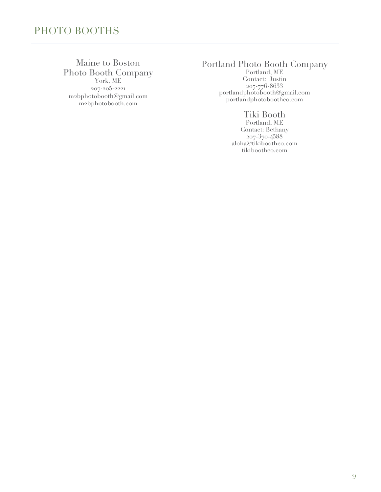## <span id="page-8-0"></span>Maine to Boston Photo Booth Company York, ME

207-205-2221 m2bphotobooth@gmail.com m2bphotobooth.com

# Portland Photo Booth Company

Portland, ME Contact: Justin 207-776-8633 portlandphotobooth@gmail.com portlandphotoboothco.com

# Tiki Booth

Portland, ME Contact: Bethany 207-370-4588 aloha@tikiboothco.com tikiboothco.com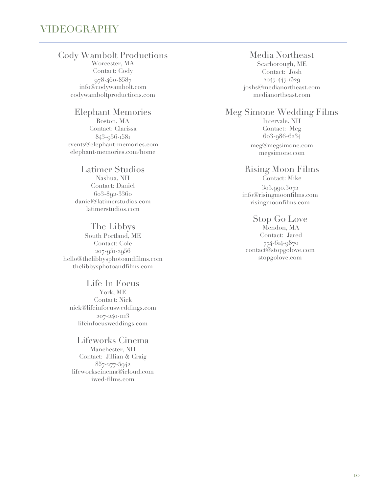# <span id="page-9-0"></span>VIDEOGRAPHY

## Cody Wambolt Productions

Worcester, MA Contact: Cody 978-460-8587 info@codywambolt.com codywamboltproductions.com

#### Elephant Memories

Boston, MA Contact: Clarissa 843-936-1581 events@elephant-memories.com elephant-memories.com/home

#### Latimer Studios

Nashua, NH Contact: Daniel 603-892-3360 daniel@latimerstudios.com latimerstudios.com

#### The Libbys

South Portland, ME Contact: Cole 207-951-2956 hello@thelibbysphotoandfilms.com thelibbysphotoandfilms.com

Life In Focus York, ME Contact: Nick nick@lifeinfocusweddings.com 207-240-1113 lifeinfocusweddings.com

#### Lifeworks Cinema Manchester, NH Contact: Jillian & Craig 857-277-5942 lifeworkscinema@icloud.com iwed-films.com

#### Media Northeast

Scarborough, ME Contact: Josh 2047-447-1529 joshs@medianortheast.com medianortheast.com

#### Meg Simone Wedding Films

Intervale, NH Contact: Meg 603-986-6234 meg@megsimone.com megsimone.com

#### Rising Moon Films

Contact: Mike 303.990.3072 info@risingmoonfilms.com risingmoonfilms.com

#### Stop Go Love

Mendon, MA Contact: Jared 774-614-9870 contact@stopgolove.com stopgolove.com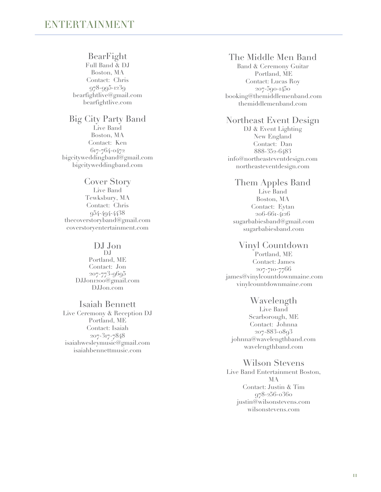#### BearFight

<span id="page-10-0"></span>Full Band & DJ Boston, MA Contact: Chris 978-995-1239 bearfightlive@gmail.com bearfightlive.com

#### Big City Party Band Live Band Boston, MA Contact: Ken 617-764-0472 bigcityweddingband@gmail.com bigcityweddingband.com

#### Cover Story

Live Band Tewksbury, MA Contact: Chris 954-494-4438 thecoverstoryband@gmail.com coverstoryentertainment.com

#### DJ Jon

DJ Portland, ME Contact: Jon 207-773-9695 DJJon1200@gmail.com DJJon.com

#### Isaiah Bennett

Live Ceremony & Reception DJ Portland, ME Contact: Isaiah 207-317-7848 isaiahwesleymusic@gmail.com isaiahbennettmusic.com

## The Middle Men Band

Band & Ceremony Guitar Portland, ME Contact: Lucas Roy 207-590-1450 booking@themiddlemenband.com themiddlemenband.com

## Northeast Event Design

DJ & Event Lighting New England Contact: Dan 888-352-6483 info@northeasteventdesign.com northeasteventdesign.com

### Them Apples Band

Live Band Boston, MA Contact: Eytan 206-661-4126 sugarbabiesband@gmail.com sugarbabiesband.com

#### Vinyl Countdown

Portland, ME Contact: James 207-710-7766 james@vinylcountdownmaine.com vinylcountdownmaine.com

#### Wavelength

Live Band Scarborough, ME Contact: Johnna 207-883-0893 johnna@wavelengthband.com wavelengthband.com

### Wilson Stevens

Live Band Entertainment Boston, MA Contact: Justin & Tim 978-256-0360 justin@wilsonstevens.com wilsonstevens.com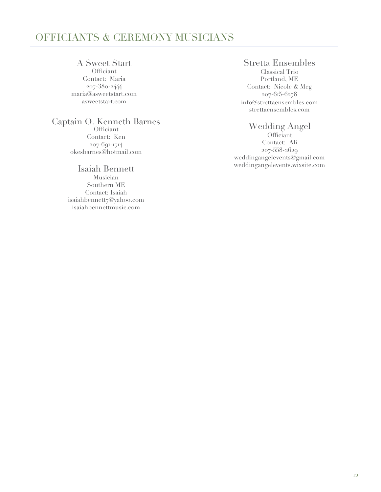# <span id="page-11-0"></span>OFFICIANTS & CEREMONY MUSICIANS

# A Sweet Start

**Officiant** Contact: Maria 207-380-2444 maria@asweetstart.com asweetstart.com

# Captain O. Kenneth Barnes

Officiant Contact: Ken 207-691-1714 okesbarnes@hotmail.com

## Isaiah Bennett Musician

Southern ME Contact: Isaiah isaiahbennett7@yahoo.com isaiahbennettmusic.com

# Stretta Ensembles

Classical Trio Portland, ME Contact: Nicole & Meg 207-615-6278 info@strettaensembles.com strettaensembles.com

## Wedding Angel

Officiant Contact: Ali 207-558-2629 weddingangelevents@gmail.com weddingangelevents.wixsite.com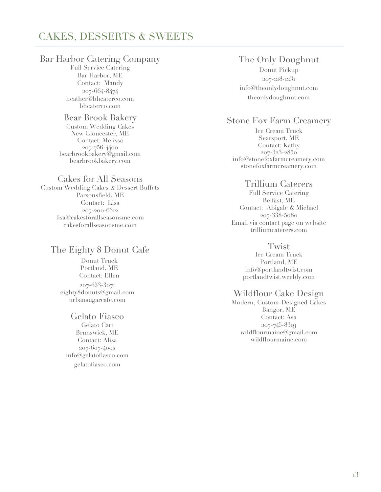# <span id="page-12-0"></span>CAKES, DESSERTS & SWEETS

## Bar Harbor Catering Company

Full Service Catering Bar Harbor, ME Contact: Mandy 207-664-8474 heather@bhcaterco.com bhcaterco.com

# Bear Brook Bakery

Custom Wedding Cakes New Gloucester, ME Contact: Melissa 207-756-4400 bearbrookbakery@gmail.com bearbrookbakery.com

#### Cakes for All Seasons

Custom Wedding Cakes & Dessert Buffets Parsonsfield, ME Contact: Lisa 207-200-6312 lisa@cakesforallseasonsme.com cakesforallseasonsme.com

# The Eighty 8 Donut Cafe

Donut Truck Portland, ME Contact: Ellen 207-653-3071 eighty8donuts@gmail.com urbansugarcafe.com

### Gelato Fiasco

Gelato Cart Brunswick, ME Contact: Alisa 207-607-4002 info@gelatofiasco.com gelatofiasco.com

# The Only Doughnut

Donut Pickup 207-218-1231 info@theonlydoughnut.com theonlydoughnut.com

# Stone Fox Farm Creamery

Ice Cream Truck Searsport, ME Contact: Kathy 207-323-2850 info@stonefoxfarmcreamery.com stonefoxfarmcreamery.com

## Trillium Caterers

Full Service Catering Belfast, ME Contact: Abigale & Michael 207-338-5080 Email via contact page on website trilliumcaterers.com

#### **Twist**

Ice Cream Truck Portland, ME info@portlandtwist.com portlandtwist.weebly.com

## Wildflour Cake Design

Modern, Custom-Designed Cakes Bangor, ME Contact: Asa 207-745-8319 wildflourmaine@gmail.com wildflourmaine.com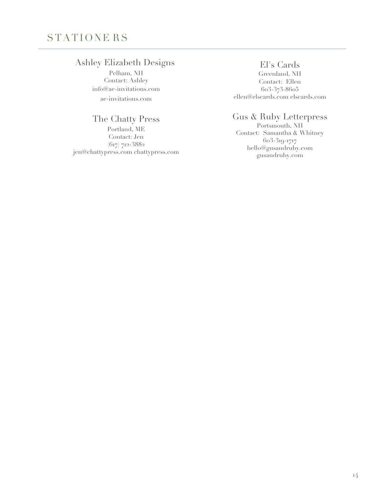# <span id="page-13-0"></span>STATIONE RS

# Ashley Elizabeth Designs

Pelham, NH Contact: Ashley info@ae-invitations.com ae-invitations.com

# The Chatty Press

Portland, ME Contact: Jen (617) 712-3882 jen@chattypress.com chattypress.com

El's Cards Greenland, NH Contact: Ellen 603-373-8605 ellen@elscards.com elscards.com

# Gus & Ruby Letterpress

Portsmouth, NH Contact: Samantha & Whitney 603-319-1717 hello@gusandruby.com gusandruby.com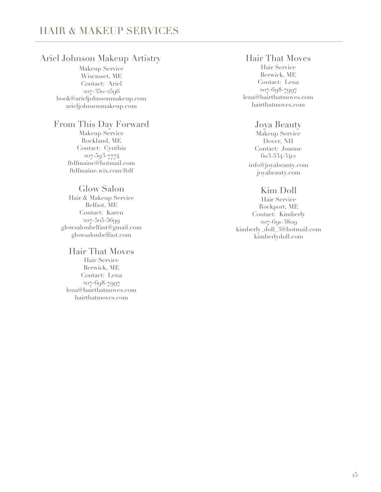## Ariel Johnson Makeup Artistry

Makeup Service Wiscasset, ME Contact: Ariel 207-350-2596 book@arieljohnsonmakeup.com arieljohnsonmakeup.com

## From This Day Forward

Makeup Service Rockland, ME Contact: Cynthia 207-593-7774 ftdfmaine@hotmail.com ftdfmaine.wix.com/ftdf

### Glow Salon

Hair & Makeup Service Belfast, ME Contact: Karen 207-505-5699 glowsalonbelfast@gmail.com glowsalonbelfast.com

#### Hair That Moves

Hair Service Berwick, ME Contact: Lena 207-698-7997 lena@hairthatmoves.com hairthatmoves.com

# Hair That Moves

Hair Service Berwick, ME Contact: Lena 207-698-7997 lena@hairthatmoves.com hairthatmoves.com

## Joya Beauty

Makeup Service Dover, NH Contact: Joanne 603-534-3412 info@joyabeauty.com joyabeauty.com

## Kim Doll

Hair Service Rockport, ME Contact: Kimberly 207-691-3809 kimberly\_doll\_3@hotmail.com kimberlydoll.com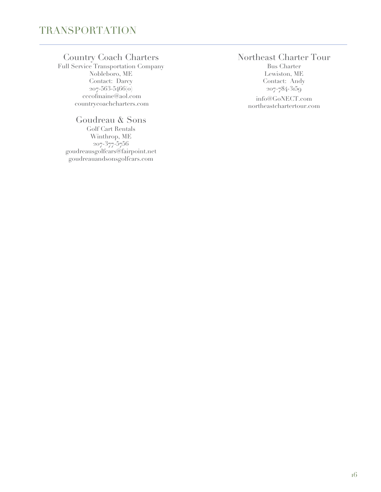# <span id="page-15-0"></span>Country Coach Charters

Full Service Transportation Company Nobleboro, ME Contact: Darcy 207-563-5466(o) cccofmaine@aol.com countrycoachcharters.com

# Goudreau & Sons

Golf Cart Rentals Winthrop, ME 207-377-5756 goudreausgolfcars@fairpoint.net goudreauandsonsgolfcars.com

# Northeast Charter Tour

Bus Charter Lewiston, ME Contact: Andy 207-784-3159 info@GoNECT.com northeastchartertour.com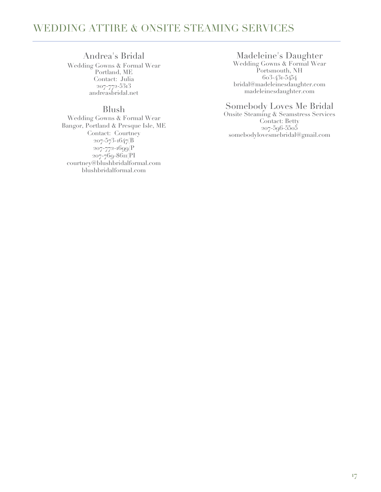# <span id="page-16-0"></span>WEDDING ATTIRE & ONSITE STEAMING SERVICES

#### Andrea's Bridal

Wedding Gowns & Formal Wear Portland, ME Contact: Julia 207-772-5313 andreasbridal.net

#### Blush

Wedding Gowns & Formal Wear Bangor, Portland & Presque Isle, ME Contact: Courtney 207-573-1647(B 207-772-1699(P 207-769-8611(PI courtney@blushbridalformal.com blushbridalformal.com

#### Madeleine's Daughter

Wedding Gowns & Formal Wear Portsmouth, NH 603-431-5454 bridal@madeleinesdaughter.com madeleinesdaughter.com

#### Somebody Loves Me Bridal

Onsite Steaming & Seamstress Services Contact: Betty 207-596-5505 somebodylovesmebridal@gmail.com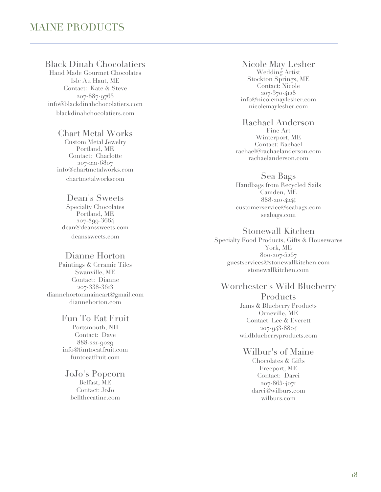# Black Dinah Chocolatiers

Hand Made Gourmet Chocolates Isle Au Haut, ME Contact: Kate & Steve 207-887-9763 info@blackdinahchocolatiers.com blackdinahchocolatiers.com

### Chart Metal Works

Custom Metal Jewelry Portland, ME Contact: Charlotte 207-221-6807 info@chartmetalworks.com chartmetalworkscom

### Dean's Sweets

Specialty Chocolates Portland, ME 207-899-3664 dean@deanssweets.com deanssweets.com

### Dianne Horton

Paintings & Ceramic Tiles Swanville, ME Contact: Dianne 207-338-3613 diannehortonmaineart@gmail.com diannehorton.com

## Fun To Eat Fruit

Portsmouth, NH Contact: Dave 888-221-9029 info@funtoeatfruit.com funtoeatfruit.com

JoJo's Popcorn Belfast, ME Contact: JoJo bellthecatinc.com

#### Nicole May Lesher Wedding Artist

Stockton Springs, ME Contact: Nicole 207-370-4128 info@nicolemaylesher.com nicolemaylesher.com

#### Rachael Anderson Fine Art Winterport, ME Contact: Rachael rachael@rachaelanderson.com rachaelanderson.com

## Sea Bags

Handbags from Recycled Sails Camden, ME 888-210-4244 customerservice@seabags.com seabags.com

# Stonewall Kitchen

Specialty Food Products, Gifts & Housewares York, ME 800-207-5267 guestservices@stonewallkitchen.com stonewallkitchen.com

# Worchester's Wild Blueberry

**Products** Jams & Blueberry Products Orneville, ME Contact: Lee & Everett 207-943-8804 wildblueberryproducts.com

### Wilbur's of Maine

Chocolates & Gifts Freeport, ME Contact: Darci 207-865-4071 darci@wilburs.com wilburs.com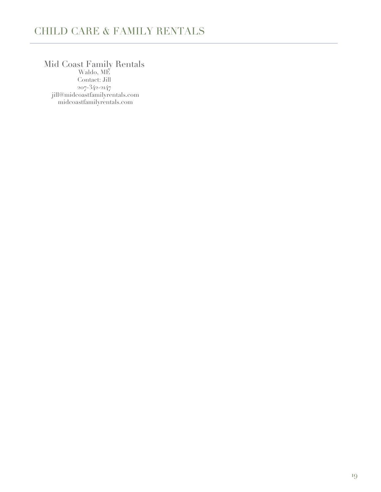# <span id="page-18-0"></span>CHILD CARE & FAMILY RENTALS

# Mid Coast Family Rentals

Waldo, ME Contact: Jill 207-342-2147 jill@midcoastfamilyrentals.com midcoastfamilyrentals.com